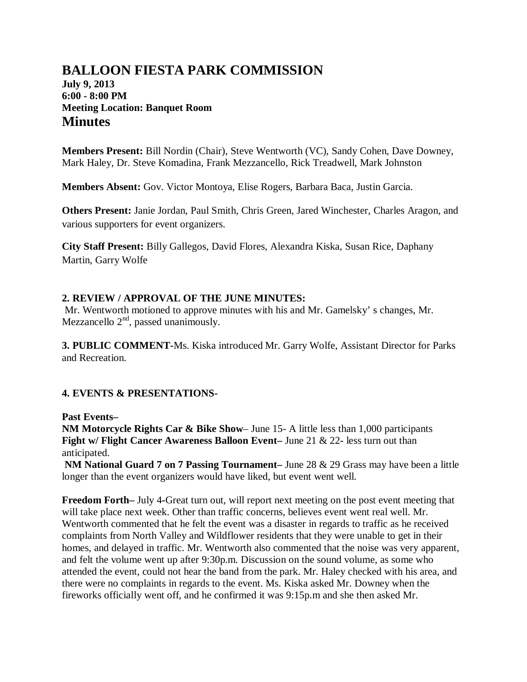# **BALLOON FIESTA PARK COMMISSION July 9, 2013 6:00 - 8:00 PM Meeting Location: Banquet Room Minutes**

**Members Present:** Bill Nordin (Chair), Steve Wentworth (VC), Sandy Cohen, Dave Downey, Mark Haley, Dr. Steve Komadina, Frank Mezzancello, Rick Treadwell, Mark Johnston

**Members Absent:** Gov. Victor Montoya, Elise Rogers, Barbara Baca, Justin Garcia.

**Others Present:** Janie Jordan, Paul Smith, Chris Green, Jared Winchester, Charles Aragon, and various supporters for event organizers.

**City Staff Present:** Billy Gallegos, David Flores, Alexandra Kiska, Susan Rice, Daphany Martin, Garry Wolfe

# **2. REVIEW / APPROVAL OF THE JUNE MINUTES:**

Mr. Wentworth motioned to approve minutes with his and Mr. Gamelsky' s changes, Mr. Mezzancello  $2<sup>nd</sup>$ , passed unanimously.

**3. PUBLIC COMMENT-**Ms. Kiska introduced Mr. Garry Wolfe, Assistant Director for Parks and Recreation.

# **4. EVENTS & PRESENTATIONS-**

**Past Events–**

**NM Motorcycle Rights Car & Bike Show**– June 15- A little less than 1,000 participants **Fight w/ Flight Cancer Awareness Balloon Event–** June 21 & 22**-** less turn out than anticipated.

**NM National Guard 7 on 7 Passing Tournament–** June 28 & 29 Grass may have been a little longer than the event organizers would have liked, but event went well.

**Freedom Forth–** July 4**-**Great turn out, will report next meeting on the post event meeting that will take place next week. Other than traffic concerns, believes event went real well. Mr. Wentworth commented that he felt the event was a disaster in regards to traffic as he received complaints from North Valley and Wildflower residents that they were unable to get in their homes, and delayed in traffic. Mr. Wentworth also commented that the noise was very apparent, and felt the volume went up after 9:30p.m. Discussion on the sound volume, as some who attended the event, could not hear the band from the park. Mr. Haley checked with his area, and there were no complaints in regards to the event. Ms. Kiska asked Mr. Downey when the fireworks officially went off, and he confirmed it was 9:15p.m and she then asked Mr.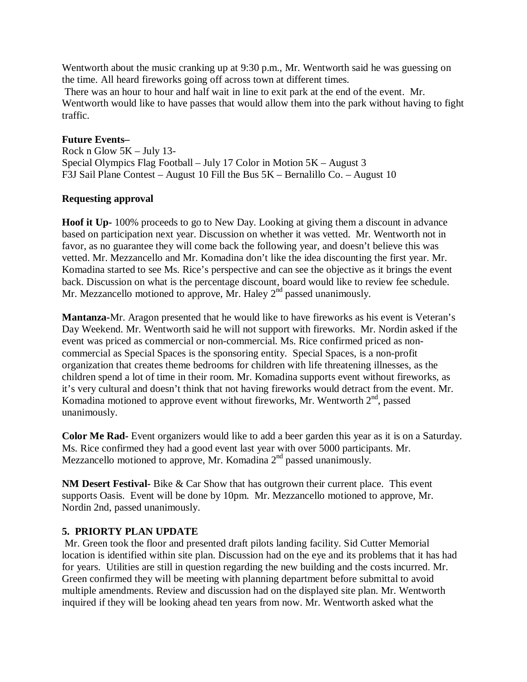Wentworth about the music cranking up at 9:30 p.m., Mr. Wentworth said he was guessing on the time. All heard fireworks going off across town at different times.

There was an hour to hour and half wait in line to exit park at the end of the event. Mr. Wentworth would like to have passes that would allow them into the park without having to fight traffic.

## **Future Events–**

Rock n Glow 5K – July 13- Special Olympics Flag Football – July 17 Color in Motion 5K – August 3 F3J Sail Plane Contest – August 10 Fill the Bus 5K – Bernalillo Co. – August 10

## **Requesting approval**

**Hoof it Up-** 100% proceeds to go to New Day. Looking at giving them a discount in advance based on participation next year. Discussion on whether it was vetted. Mr. Wentworth not in favor, as no guarantee they will come back the following year, and doesn't believe this was vetted. Mr. Mezzancello and Mr. Komadina don't like the idea discounting the first year. Mr. Komadina started to see Ms. Rice's perspective and can see the objective as it brings the event back. Discussion on what is the percentage discount, board would like to review fee schedule. Mr. Mezzancello motioned to approve, Mr. Haley  $2<sup>nd</sup>$  passed unanimously.

**Mantanza-**Mr. Aragon presented that he would like to have fireworks as his event is Veteran's Day Weekend. Mr. Wentworth said he will not support with fireworks. Mr. Nordin asked if the event was priced as commercial or non-commercial. Ms. Rice confirmed priced as noncommercial as Special Spaces is the sponsoring entity. Special Spaces, is a non-profit organization that creates theme bedrooms for children with life threatening illnesses, as the children spend a lot of time in their room. Mr. Komadina supports event without fireworks, as it's very cultural and doesn't think that not having fireworks would detract from the event. Mr. Komadina motioned to approve event without fireworks, Mr. Wentworth  $2<sup>nd</sup>$ , passed unanimously.

**Color Me Rad-** Event organizers would like to add a beer garden this year as it is on a Saturday. Ms. Rice confirmed they had a good event last year with over 5000 participants. Mr. Mezzancello motioned to approve, Mr. Komadina  $2<sup>nd</sup>$  passed unanimously.

**NM Desert Festival-** Bike & Car Show that has outgrown their current place. This event supports Oasis. Event will be done by 10pm. Mr. Mezzancello motioned to approve, Mr. Nordin 2nd, passed unanimously.

#### **5. PRIORTY PLAN UPDATE**

Mr. Green took the floor and presented draft pilots landing facility. Sid Cutter Memorial location is identified within site plan. Discussion had on the eye and its problems that it has had for years. Utilities are still in question regarding the new building and the costs incurred. Mr. Green confirmed they will be meeting with planning department before submittal to avoid multiple amendments. Review and discussion had on the displayed site plan. Mr. Wentworth inquired if they will be looking ahead ten years from now. Mr. Wentworth asked what the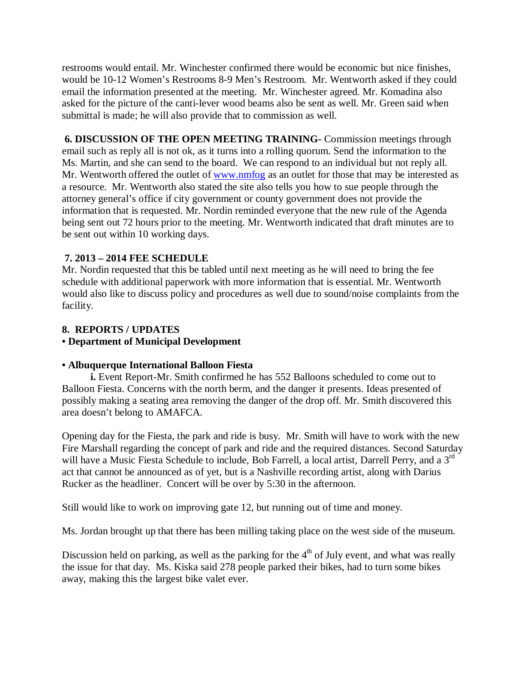restrooms would entail. Mr. Winchester confirmed there would be economic but nice finishes, would be 10-12 Women's Restrooms 8-9 Men's Restroom. Mr. Wentworth asked if they could email the information presented at the meeting. Mr. Winchester agreed. Mr. Komadina also asked for the picture of the canti-lever wood beams also be sent as well. Mr. Green said when submittal is made; he will also provide that to commission as well.

**6. DISCUSSION OF THE OPEN MEETING TRAINING-** Commission meetings through email such as reply all is not ok, as it turns into a rolling quorum. Send the information to the Ms. Martin, and she can send to the board. We can respond to an individual but not reply all. Mr. Wentworth offered the outlet of [www.nmfog](http://www.nmfog/) as an outlet for those that may be interested as a resource. Mr. Wentworth also stated the site also tells you how to sue people through the attorney general's office if city government or county government does not provide the information that is requested. Mr. Nordin reminded everyone that the new rule of the Agenda being sent out 72 hours prior to the meeting. Mr. Wentworth indicated that draft minutes are to be sent out within 10 working days.

## **7. 2013 – 2014 FEE SCHEDULE**

Mr. Nordin requested that this be tabled until next meeting as he will need to bring the fee schedule with additional paperwork with more information that is essential. Mr. Wentworth would also like to discuss policy and procedures as well due to sound/noise complaints from the facility.

## **8. REPORTS / UPDATES**

#### **• Department of Municipal Development**

#### **• Albuquerque International Balloon Fiesta**

 **i.** Event Report-Mr. Smith confirmed he has 552 Balloons scheduled to come out to Balloon Fiesta. Concerns with the north berm, and the danger it presents. Ideas presented of possibly making a seating area removing the danger of the drop off. Mr. Smith discovered this area doesn't belong to AMAFCA.

Opening day for the Fiesta, the park and ride is busy. Mr. Smith will have to work with the new Fire Marshall regarding the concept of park and ride and the required distances. Second Saturday will have a Music Fiesta Schedule to include, Bob Farrell, a local artist, Darrell Perry, and a 3<sup>rd</sup> act that cannot be announced as of yet, but is a Nashville recording artist, along with Darius Rucker as the headliner. Concert will be over by 5:30 in the afternoon.

Still would like to work on improving gate 12, but running out of time and money.

Ms. Jordan brought up that there has been milling taking place on the west side of the museum.

Discussion held on parking, as well as the parking for the  $4<sup>th</sup>$  of July event, and what was really the issue for that day. Ms. Kiska said 278 people parked their bikes, had to turn some bikes away, making this the largest bike valet ever.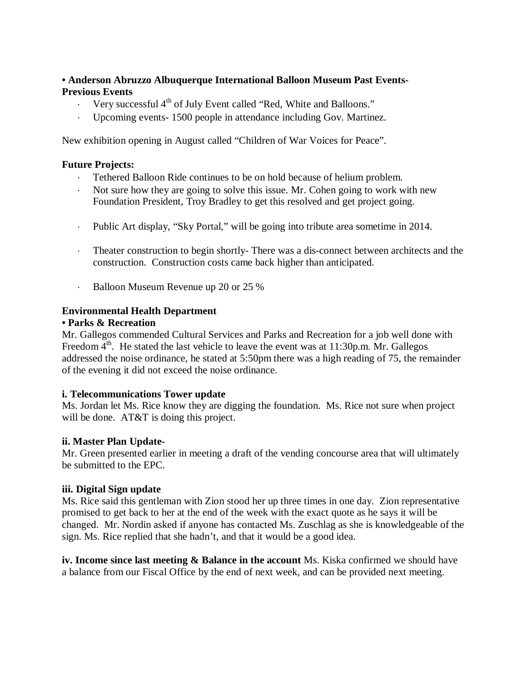# **• Anderson Abruzzo Albuquerque International Balloon Museum Past Events-Previous Events**

- Very successful 4<sup>th</sup> of July Event called "Red, White and Balloons."
- Upcoming events- 1500 people in attendance including Gov. Martinez.

New exhibition opening in August called "Children of War Voices for Peace".

## **Future Projects:**

- ⋅ Tethered Balloon Ride continues to be on hold because of helium problem.
- Not sure how they are going to solve this issue. Mr. Cohen going to work with new Foundation President, Troy Bradley to get this resolved and get project going.
- ⋅ Public Art display, "Sky Portal," will be going into tribute area sometime in 2014.
- ⋅ Theater construction to begin shortly- There was a dis-connect between architects and the construction. Construction costs came back higher than anticipated.
- Balloon Museum Revenue up 20 or 25 %

## **Environmental Health Department**

#### **• Parks & Recreation**

Mr. Gallegos commended Cultural Services and Parks and Recreation for a job well done with Freedom  $4<sup>th</sup>$ . He stated the last vehicle to leave the event was at 11:30p.m. Mr. Gallegos addressed the noise ordinance, he stated at 5:50pm there was a high reading of 75, the remainder of the evening it did not exceed the noise ordinance.

# **i. Telecommunications Tower update**

Ms. Jordan let Ms. Rice know they are digging the foundation. Ms. Rice not sure when project will be done. AT&T is doing this project.

#### **ii. Master Plan Update-**

Mr. Green presented earlier in meeting a draft of the vending concourse area that will ultimately be submitted to the EPC.

#### **iii. Digital Sign update**

Ms. Rice said this gentleman with Zion stood her up three times in one day. Zion representative promised to get back to her at the end of the week with the exact quote as he says it will be changed. Mr. Nordin asked if anyone has contacted Ms. Zuschlag as she is knowledgeable of the sign. Ms. Rice replied that she hadn't, and that it would be a good idea.

**iv. Income since last meeting & Balance in the account** Ms. Kiska confirmed we should have a balance from our Fiscal Office by the end of next week, and can be provided next meeting.